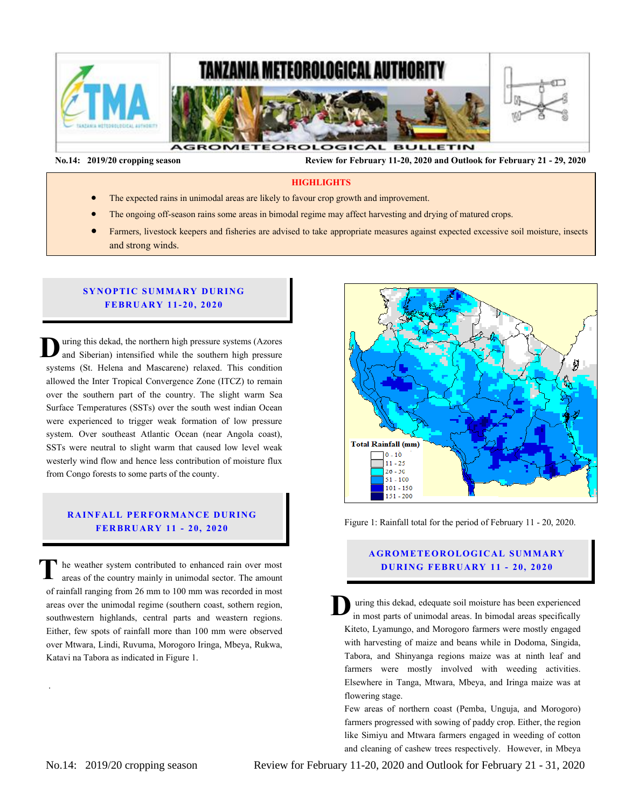

 **No.14: 2019/20 cropping season Review for February 11-20, 2020 and Outlook for February 21 - 29, 2020** 

### **HIGHLIGHTS**

- The expected rains in unimodal areas are likely to favour crop growth and improvement.
- The ongoing off-season rains some areas in bimodal regime may affect harvesting and drying of matured crops.
- Farmers, livestock keepers and fisheries are advised to take appropriate measures against expected excessive soil moisture, insects and strong winds.

### **SYNOPTIC SUMMARY DURING FEBR U ARY 11- 20, 20 20**

uring this dekad, the northern high pressure systems (Azores and Siberian) intensified while the southern high pressure systems (St. Helena and Mascarene) relaxed. This condition allowed the Inter Tropical Convergence Zone (ITCZ) to remain over the southern part of the country. The slight warm Sea Surface Temperatures (SSTs) over the south west indian Ocean were experienced to trigger weak formation of low pressure system. Over southeast Atlantic Ocean (near Angola coast), were experienced to trigger weak formation of low pressure system. Over southeast Atlantic Ocean (near Angola coast), SSTs were neutral to slight warm that caused low level weak westerly wind flow and hence less contribution of moisture flux from Congo forests to some parts of the county. **D** SS<br>With<br>free

#### **RAINFALL PERFORMANCE DURING FER BR U AR Y 11 - 20, 2020**

he weather system contributed to enhanced rain over most areas of the country mainly in unimodal sector. The amount of rainfall ranging from 26 mm to 100 mm was recorded in most areas over the unimodal regime (southern coast, sothern region, southwestern highlands, central parts and weastern regions. Either, few spots of rainfall more than 100 mm were observed over Mtwara, Lindi, Ruvuma, Morogoro Iringa, Mbeya, Rukwa, Katavi na Tabora as indicated in Figure 1. **T**



Figure 1: Rainfall total for the period of February 11 - 20, 2020.

# **A GROMETEOROLOGICAL SUMMARY D UR ING FEBR UA RY 11 - 20, 2020**

uring this dekad, edequate soil moisture has been experienced in most parts of unimodal areas. In bimodal areas specifically Kiteto, Lyamungo, and Morogoro farmers were mostly engaged with harvesting of maize and beans while in Dodoma, Singida, Tabora, and Shinyanga regions maize was at ninth leaf and farmers were mostly involved with weeding activities. Elsewhere in Tanga, Mtwara, Mbeya, and Iringa maize was at flowering stage. **D**

Few areas of northern coast (Pemba, Unguja, and Morogoro) farmers progressed with sowing of paddy crop. Either, the region like Simiyu and Mtwara farmers engaged in weeding of cotton and cleaning of cashew trees respectively. However, in Mbeya

.